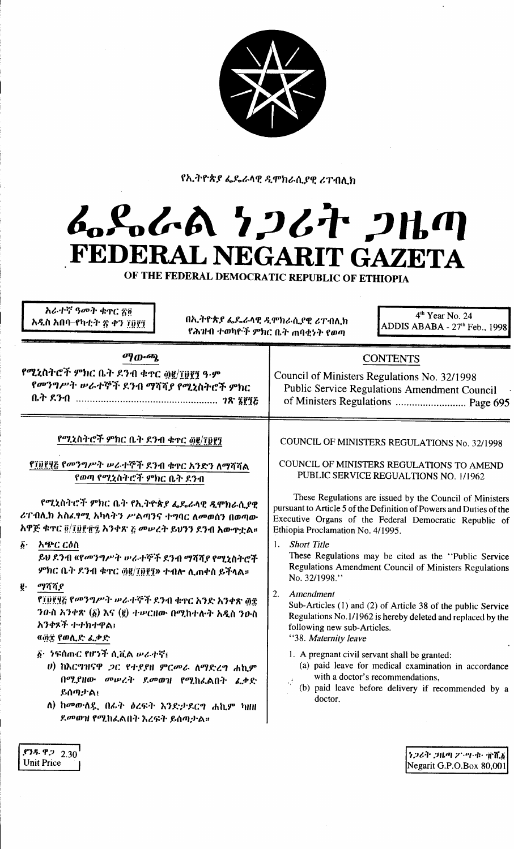

የኢትዮጵያ ፌዴራላዊ ዲሞክራሲያዊ ሪፐብሊክ

## んぺんめ クンムヤ フルの FEDERAL NEGARIT GAZETA

OF THE FEDERAL DEMOCRATIC REPUBLIC OF ETHIOPIA

| 4 <sup>th</sup> Year No. 24<br>በኢትዮጵያ ፌዴራላዊ ዲሞክራሲያዊ ሪፐብሊክ<br>ADDIS ABABA - 27 <sup>th</sup> Feb., 1998<br>የሕዝብ ተወካዮች ምክር ቤት ጠባቂነት የወጣ                                                                                          |
|--------------------------------------------------------------------------------------------------------------------------------------------------------------------------------------------------------------------------------|
| <b>CONTENTS</b><br>Council of Ministers Regulations No. 32/1998<br>Public Service Regulations Amendment Council<br>of Ministers Regulations  Page 695                                                                          |
| COUNCIL OF MINISTERS REGULATIONS No. 32/1998<br>COUNCIL OF MINISTERS REGULATIONS TO AMEND<br>PUBLIC SERVICE REGUALTIONS NO. 1/1962                                                                                             |
| These Regulations are issued by the Council of Ministers<br>pursuant to Article 5 of the Definition of Powers and Duties of the<br>Executive Organs of the Federal Democratic Republic of<br>Ethiopia Proclamation No. 4/1995. |
| <b>Short Title</b><br>$\mathbf{1}$ .<br>These Regulations may be cited as the "Public Service<br>Regulations Amendment Council of Ministers Regulations<br>No. 32/1998."                                                       |
| 2.<br>Amendment<br>Sub-Articles (1) and (2) of Article 38 of the public Service<br>Regulations No.1/1962 is hereby deleted and replaced by the<br>following new sub-Articles.<br>"38. Maternity leave                          |
| 1. A pregnant civil servant shall be granted:<br>(a) paid leave for medical examination in accordance<br>with a doctor's recommendations.<br>(b) paid leave before delivery if recommended by a<br>doctor.                     |
|                                                                                                                                                                                                                                |

ランムキ プルの ア・ツ・セ・電光義 Negarit G.P.O.Box 80,001

 $.73.9922.30$ Unit Price